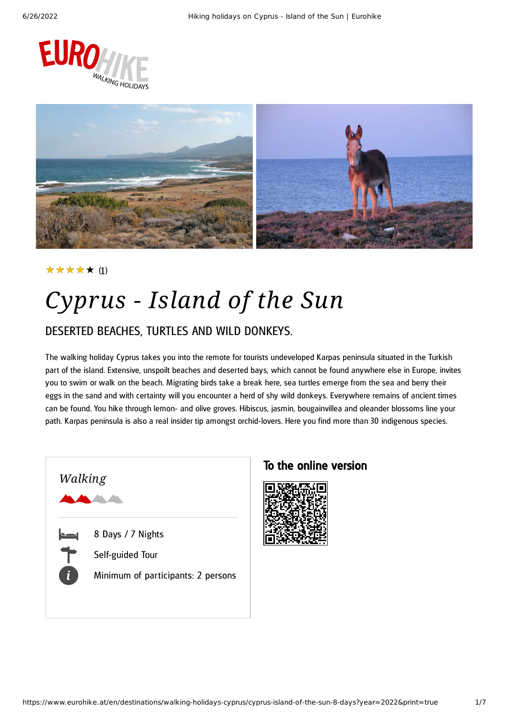



#### (1) ★★★★★

# *Cyprus - Island of the Sun*

### DESERTED BEACHES, TURTLES AND WILD DONKEYS.

The walking holiday Cyprus takes you into the remote for tourists undeveloped Karpas peninsula situated in the Turkish part of the island. Extensive, unspoilt beaches and deserted bays, which cannot be found anywhere else in Europe, invites you to swim or walk on the beach. Migrating birds take a break here, sea turtles emerge from the sea and berry their eggs in the sand and with certainty will you encounter a herd of shy wild donkeys. Everywhere remains of ancient times can be found. You hike through lemon- and olive groves. Hibiscus, jasmin, bougainvillea and oleander blossoms line your path. Karpas peninsula is also a real insider tip amongst orchid-lovers. Here you find more than 30 indigenous species.



### To the online version

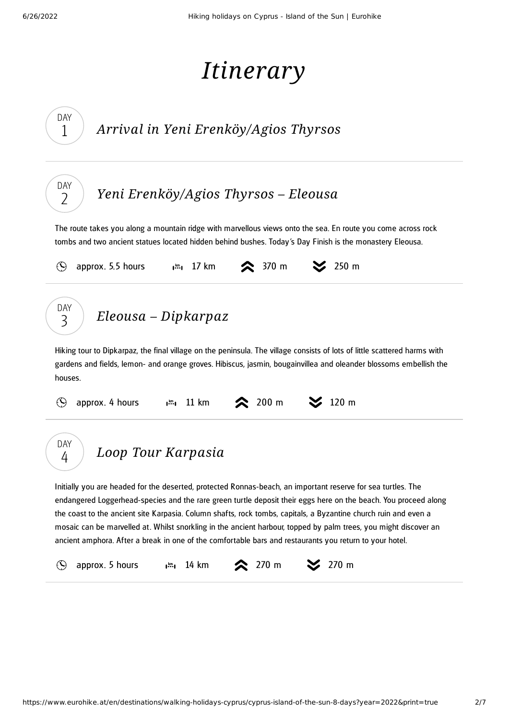# *Itinerary*

<span id="page-1-2"></span><span id="page-1-1"></span><span id="page-1-0"></span>

| DAY<br>Arrival in Yeni Erenköy/Agios Thyrsos<br>1                                                                                                                                                                                                                                                                                                                                                                                                                                                                                                                                                                   |  |
|---------------------------------------------------------------------------------------------------------------------------------------------------------------------------------------------------------------------------------------------------------------------------------------------------------------------------------------------------------------------------------------------------------------------------------------------------------------------------------------------------------------------------------------------------------------------------------------------------------------------|--|
| DAY<br>Yeni Erenköy/Agios Thyrsos – Eleousa<br>2                                                                                                                                                                                                                                                                                                                                                                                                                                                                                                                                                                    |  |
| The route takes you along a mountain ridge with marvellous views onto the sea. En route you come across rock<br>tombs and two ancient statues located hidden behind bushes. Today's Day Finish is the monastery Eleousa.                                                                                                                                                                                                                                                                                                                                                                                            |  |
| <b>◇</b> 370 m<br>$\approx$ 250 m<br>approx. 5.5 hours $\mathbf{I}^{\mathfrak{m}}$ , 17 km<br>$(\blacktriangle)$                                                                                                                                                                                                                                                                                                                                                                                                                                                                                                    |  |
| DAY<br>$E$ leousa – Dipkarpaz<br>3                                                                                                                                                                                                                                                                                                                                                                                                                                                                                                                                                                                  |  |
| Hiking tour to Dipkarpaz, the final village on the peninsula. The village consists of lots of little scattered harms with<br>gardens and fields, lemon- and orange groves. Hibiscus, jasmin, bougainvillea and oleander blossoms embellish the<br>houses.<br>$\approx 200 \text{ m}$<br>$120 \text{ m}$<br>approx. 4 hours<br>11 km<br>$\mathbf{I}^{\text{km}}$                                                                                                                                                                                                                                                     |  |
| DAY<br>Loop Tour Karpasia<br>4<br>Initially you are headed for the deserted, protected Ronnas-beach, an important reserve for sea turtles. The<br>endangered Loggerhead-species and the rare green turtle deposit their eggs here on the beach. You proceed along<br>the coast to the ancient site Karpasia. Column shafts, rock tombs, capitals, a Byzantine church ruin and even a<br>mosaic can be marvelled at. Whilst snorkling in the ancient harbour, topped by palm trees, you might discover an<br>ancient amphora. After a break in one of the comfortable bars and restaurants you return to your hotel. |  |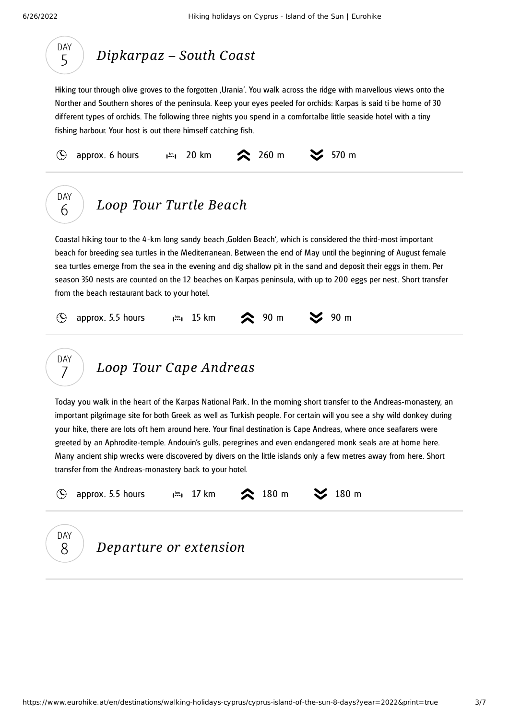

DAY 6

### *[Dipkarpaz](#page-2-0) – South Coast*

<span id="page-2-0"></span>Hiking tour through olive groves to the forgotten , Urania'. You walk across the ridge with marvellous views onto the Norther and Southern shores of the peninsula. Keep your eyes peeled for orchids: Karpas is said ti be home of 30 different types of orchids. The following three nights you spend in a comfortalbe little seaside hotel with a tiny fishing harbour. Your host is out there himself catching fish.



### *Loop Tour Turtle [Beach](#page-2-1)*

<span id="page-2-1"></span>Coastal hiking tour to the 4 -km long sandy beach 'Golden Beach', which is considered the third-most important beach for breeding sea turtles in the Mediterranean. Between the end of May until the beginning of August female sea turtles emerge from the sea in the evening and dig shallow pit in the sand and deposit their eggs in them. Per season 350 nests are counted on the 12 beaches on Karpas peninsula, with up to 200 eggs per nest. Short transfer from the beach restaurant back to your hotel.

| $\circledS$ approx. 5.5 hours $\bullet$ $\cdot$ 15 km $\bullet$ 90 m $\bullet$ 90 m |  |  |
|-------------------------------------------------------------------------------------|--|--|
|                                                                                     |  |  |



<span id="page-2-2"></span>Today you walk in the heart of the Karpas National Park . In the morning short transfer to the Andreas-monastery, an important pilgrimage site for both Greek as well as Turkish people. For certain will you see a shy wild donkey during your hike, there are lots oft hem around here. Your final destination is Cape Andreas, where once seafarers were greeted by an Aphrodite-temple. Andouin's gulls, peregrines and even endangered monk seals are at home here. Many ancient ship wrecks were discovered by divers on the little islands only a few metres away from here. Short transfer from the Andreas-monastery back to your hotel.

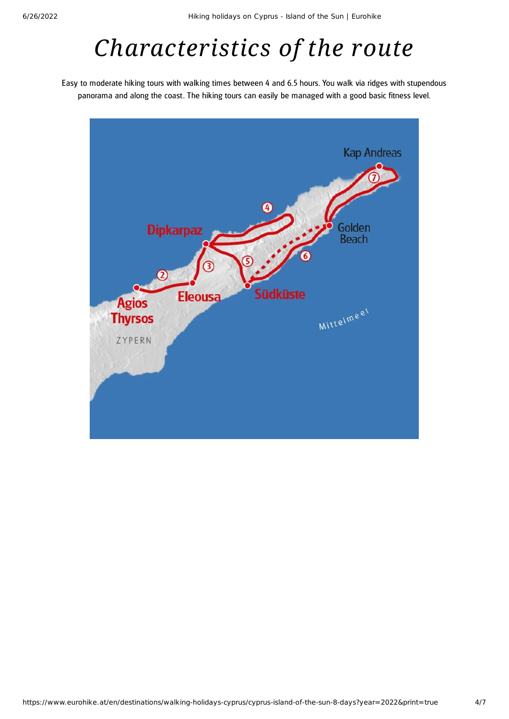# *Characteristics of the route*

Easy to moderate hiking tours with walking times between 4 and 6.5 hours. You walk via ridges with stupendous panorama and along the coast. The hiking tours can easily be managed with a good basic fitness level.

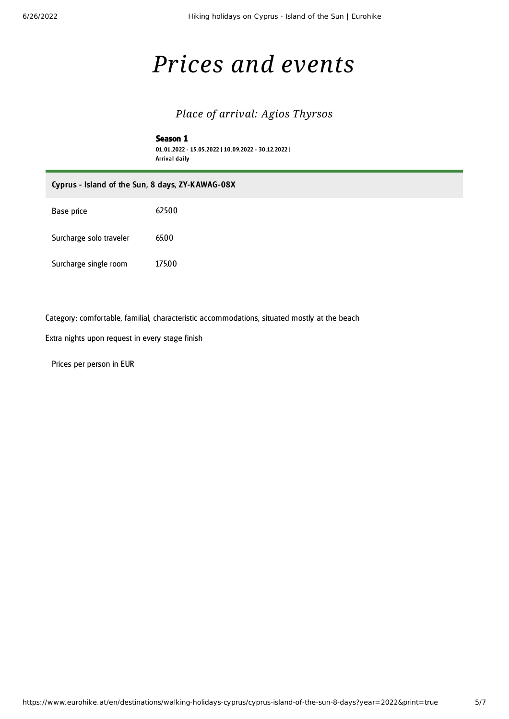## *Prices and events*

### *Place of arrival: Agios Thyrsos*

#### Season 1 01.01.2022 - 15.05.2022 | 10.09.2022 - 30.12.2022 | Arrival daily

| Cyprus - Island of the Sun, 8 days, ZY-KAWAG-08X |        |  |
|--------------------------------------------------|--------|--|
| Base price                                       | 625.00 |  |
| Surcharge solo traveler                          | 65.00  |  |
| Surcharge single room                            | 175.00 |  |

Category: comfortable, familial, characteristic accommodations, situated mostly at the beach

Extra nights upon request in every stage finish

Prices per person in EUR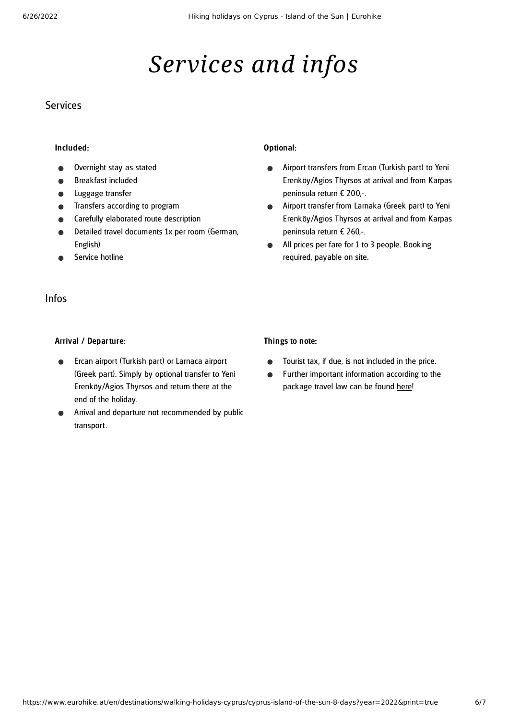# *Services and infos*

#### **Services**

#### Included:

- Overnight stay as stated
- Breakfast included
- Luggage transfer
- Transfers according to program
- Carefully elaborated route description
- Detailed travel documents 1x per room (German, English)
- Service hotline

#### Optional:

- Airport transfers from Ercan (Turkish part) to Yeni  $\bullet$ Erenköy/Agios Thyrsos at arrival and from Karpas peninsula return € 200,-.
- Airport transfer from Larnaka (Greek part) to Yeni  $\bullet$ Erenköy/Agios Thyrsos at arrival and from Karpas peninsula return € 260,-.
- All prices per fare for 1 to 3 people. Booking  $\bullet$ required, payable on site.

### Infos

#### Arrival / Departure:

- Ercan airport (Turkish part) or Larnaca airport (Greek part). Simply by optional transfer to Yeni Erenköy/Agios Thyrsos and return there at the end of the holiday.
- Arrival and departure not recommended by public transport.

#### Things to note:

- Tourist tax, if due, is not included in the price.  $\bullet$
- Further important information according to the package travel law can be found [here](https://www.eurohike.at/en/travel-information/before-the-tour/pci)!